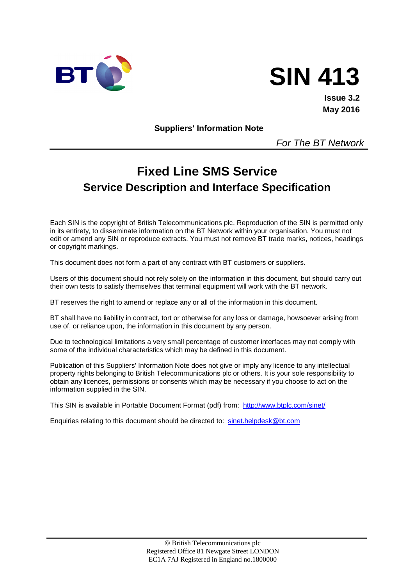



**Issue 3.2 May 2016**

**Suppliers' Information Note**

*For The BT Network*

# **Fixed Line SMS Service Service Description and Interface Specification**

Each SIN is the copyright of British Telecommunications plc. Reproduction of the SIN is permitted only in its entirety, to disseminate information on the BT Network within your organisation. You must not edit or amend any SIN or reproduce extracts. You must not remove BT trade marks, notices, headings or copyright markings.

This document does not form a part of any contract with BT customers or suppliers.

Users of this document should not rely solely on the information in this document, but should carry out their own tests to satisfy themselves that terminal equipment will work with the BT network.

BT reserves the right to amend or replace any or all of the information in this document.

BT shall have no liability in contract, tort or otherwise for any loss or damage, howsoever arising from use of, or reliance upon, the information in this document by any person.

Due to technological limitations a very small percentage of customer interfaces may not comply with some of the individual characteristics which may be defined in this document.

Publication of this Suppliers' Information Note does not give or imply any licence to any intellectual property rights belonging to British Telecommunications plc or others. It is your sole responsibility to obtain any licences, permissions or consents which may be necessary if you choose to act on the information supplied in the SIN.

This SIN is available in Portable Document Format (pdf) from: <http://www.btplc.com/sinet/>

Enquiries relating to this document should be directed to: [sinet.helpdesk@bt.com](mailto:sinet.helpdesk@bt.com)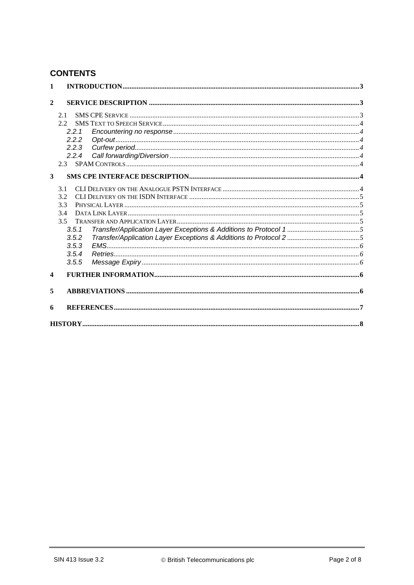# **CONTENTS**

| $\mathbf{1}$ |       |  |  |  |
|--------------|-------|--|--|--|
| $\mathbf{2}$ |       |  |  |  |
|              | 2.1   |  |  |  |
|              | 2.2   |  |  |  |
|              | 2.2.1 |  |  |  |
|              | 2.2.2 |  |  |  |
|              | 2.2.3 |  |  |  |
|              | 2.2.4 |  |  |  |
|              | 2.3   |  |  |  |
| 3            |       |  |  |  |
|              | 3.1   |  |  |  |
|              | 3.2   |  |  |  |
|              | 3.3   |  |  |  |
|              | 3.4   |  |  |  |
|              | 3.5   |  |  |  |
|              | 3.5.1 |  |  |  |
| 3.5.2        |       |  |  |  |
|              | 3.5.3 |  |  |  |
|              | 3.5.4 |  |  |  |
|              | 3.5.5 |  |  |  |
| 4            |       |  |  |  |
| 5            |       |  |  |  |
| 6            |       |  |  |  |
|              |       |  |  |  |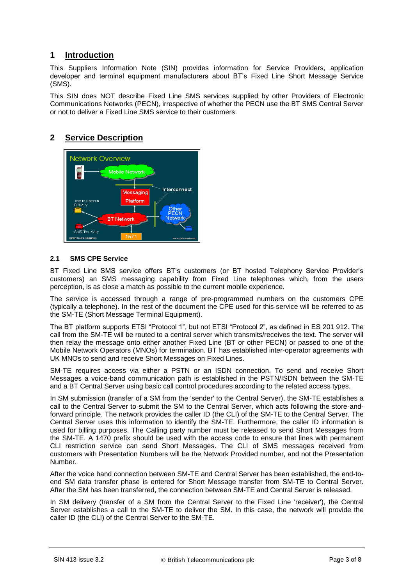# **1 Introduction**

This Suppliers Information Note (SIN) provides information for Service Providers, application developer and terminal equipment manufacturers about BT's Fixed Line Short Message Service (SMS).

This SIN does NOT describe Fixed Line SMS services supplied by other Providers of Electronic Communications Networks (PECN), irrespective of whether the PECN use the BT SMS Central Server or not to deliver a Fixed Line SMS service to their customers.

## **2 Service Description**



#### **2.1 SMS CPE Service**

BT Fixed Line SMS service offers BT's customers (or BT hosted Telephony Service Provider's customers) an SMS messaging capability from Fixed Line telephones which, from the users perception, is as close a match as possible to the current mobile experience.

The service is accessed through a range of pre-programmed numbers on the customers CPE (typically a telephone). In the rest of the document the CPE used for this service will be referred to as the SM-TE (Short Message Terminal Equipment).

The BT platform supports ETSI "Protocol 1", but not ETSI "Protocol 2", as defined in ES 201 912. The call from the SM-TE will be routed to a central server which transmits/receives the text. The server will then relay the message onto either another Fixed Line (BT or other PECN) or passed to one of the Mobile Network Operators (MNOs) for termination. BT has established inter-operator agreements with UK MNOs to send and receive Short Messages on Fixed Lines.

SM-TE requires access via either a PSTN or an ISDN connection. To send and receive Short Messages a voice-band communication path is established in the PSTN/ISDN between the SM-TE and a BT Central Server using basic call control procedures according to the related access types.

In SM submission (transfer of a SM from the 'sender' to the Central Server), the SM-TE establishes a call to the Central Server to submit the SM to the Central Server, which acts following the store-andforward principle. The network provides the caller ID (the CLI) of the SM-TE to the Central Server. The Central Server uses this information to identify the SM-TE. Furthermore, the caller ID information is used for billing purposes. The Calling party number must be released to send Short Messages from the SM-TE. A 1470 prefix should be used with the access code to ensure that lines with permanent CLI restriction service can send Short Messages. The CLI of SMS messages received from customers with Presentation Numbers will be the Network Provided number, and not the Presentation Number.

After the voice band connection between SM-TE and Central Server has been established, the end-toend SM data transfer phase is entered for Short Message transfer from SM-TE to Central Server. After the SM has been transferred, the connection between SM-TE and Central Server is released.

In SM delivery (transfer of a SM from the Central Server to the Fixed Line 'receiver'), the Central Server establishes a call to the SM-TE to deliver the SM. In this case, the network will provide the caller ID (the CLI) of the Central Server to the SM-TE.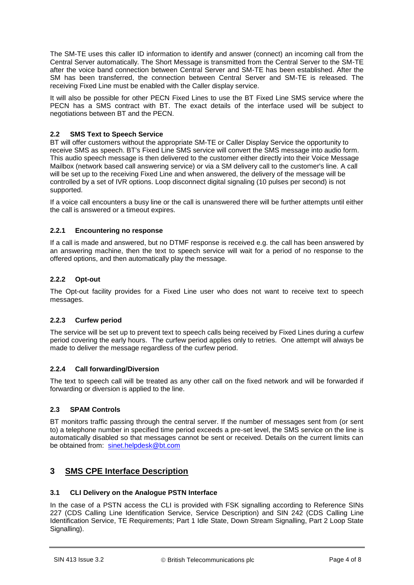The SM-TE uses this caller ID information to identify and answer (connect) an incoming call from the Central Server automatically. The Short Message is transmitted from the Central Server to the SM-TE after the voice band connection between Central Server and SM-TE has been established. After the SM has been transferred, the connection between Central Server and SM-TE is released. The receiving Fixed Line must be enabled with the Caller display service.

It will also be possible for other PECN Fixed Lines to use the BT Fixed Line SMS service where the PECN has a SMS contract with BT. The exact details of the interface used will be subject to negotiations between BT and the PECN.

#### **2.2 SMS Text to Speech Service**

BT will offer customers without the appropriate SM-TE or Caller Display Service the opportunity to receive SMS as speech. BT's Fixed Line SMS service will convert the SMS message into audio form. This audio speech message is then delivered to the customer either directly into their Voice Message Mailbox (network based call answering service) or via a SM delivery call to the customer's line. A call will be set up to the receiving Fixed Line and when answered, the delivery of the message will be controlled by a set of IVR options. Loop disconnect digital signaling (10 pulses per second) is not supported.

If a voice call encounters a busy line or the call is unanswered there will be further attempts until either the call is answered or a timeout expires.

#### **2.2.1 Encountering no response**

If a call is made and answered, but no DTMF response is received e.g. the call has been answered by an answering machine, then the text to speech service will wait for a period of no response to the offered options, and then automatically play the message.

#### **2.2.2 Opt-out**

The Opt-out facility provides for a Fixed Line user who does not want to receive text to speech messages.

#### **2.2.3 Curfew period**

The service will be set up to prevent text to speech calls being received by Fixed Lines during a curfew period covering the early hours. The curfew period applies only to retries. One attempt will always be made to deliver the message regardless of the curfew period.

#### **2.2.4 Call forwarding/Diversion**

The text to speech call will be treated as any other call on the fixed network and will be forwarded if forwarding or diversion is applied to the line.

#### **2.3 SPAM Controls**

BT monitors traffic passing through the central server. If the number of messages sent from (or sent to) a telephone number in specified time period exceeds a pre-set level, the SMS service on the line is automatically disabled so that messages cannot be sent or received. Details on the current limits can be obtained from: [sinet.helpdesk@bt.com](mailto:sinet.helpdesk@bt.com)

# **3 SMS CPE Interface Description**

#### **3.1 CLI Delivery on the Analogue PSTN Interface**

In the case of a PSTN access the CLI is provided with FSK signalling according to Reference SINs 227 (CDS Calling Line Identification Service, Service Description) and SIN 242 (CDS Calling Line Identification Service, TE Requirements; Part 1 Idle State, Down Stream Signalling, Part 2 Loop State Signalling).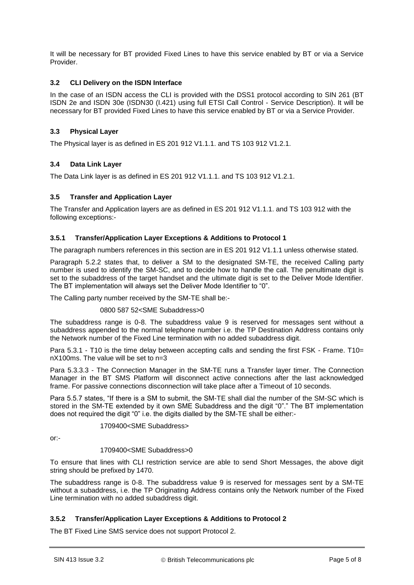It will be necessary for BT provided Fixed Lines to have this service enabled by BT or via a Service Provider.

#### **3.2 CLI Delivery on the ISDN Interface**

In the case of an ISDN access the CLI is provided with the DSS1 protocol according to SIN 261 (BT ISDN 2e and ISDN 30e (ISDN30 (I.421) using full ETSI Call Control - Service Description). It will be necessary for BT provided Fixed Lines to have this service enabled by BT or via a Service Provider.

#### **3.3 Physical Layer**

The Physical layer is as defined in ES 201 912 V1.1.1. and TS 103 912 V1.2.1.

#### **3.4 Data Link Layer**

The Data Link layer is as defined in ES 201 912 V1.1.1. and TS 103 912 V1.2.1.

#### **3.5 Transfer and Application Layer**

The Transfer and Application layers are as defined in ES 201 912 V1.1.1. and TS 103 912 with the following exceptions:-

#### **3.5.1 Transfer/Application Layer Exceptions & Additions to Protocol 1**

The paragraph numbers references in this section are in ES 201 912 V1.1.1 unless otherwise stated.

Paragraph 5.2.2 states that, to deliver a SM to the designated SM-TE, the received Calling party number is used to identify the SM-SC, and to decide how to handle the call. The penultimate digit is set to the subaddress of the target handset and the ultimate digit is set to the Deliver Mode Identifier. The BT implementation will always set the Deliver Mode Identifier to "0".

The Calling party number received by the SM-TE shall be:-

#### 0800 587 52<SME Subaddress>0

The subaddress range is 0-8. The subaddress value 9 is reserved for messages sent without a subaddress appended to the normal telephone number i.e. the TP Destination Address contains only the Network number of the Fixed Line termination with no added subaddress digit.

Para 5.3.1 - T10 is the time delay between accepting calls and sending the first FSK - Frame. T10= nX100ms. The value will be set to n=3

Para 5.3.3.3 - The Connection Manager in the SM-TE runs a Transfer layer timer. The Connection Manager in the BT SMS Platform will disconnect active connections after the last acknowledged frame. For passive connections disconnection will take place after a Timeout of 10 seconds.

Para 5.5.7 states, "If there is a SM to submit, the SM-TE shall dial the number of the SM-SC which is stored in the SM-TE extended by it own SME Subaddress and the digit "0"." The BT implementation does not required the digit "0" i.e. the digits dialled by the SM-TE shall be either:-

#### 1709400<SME Subaddress>

or:-

#### 1709400<SME Subaddress>0

To ensure that lines with CLI restriction service are able to send Short Messages, the above digit string should be prefixed by 1470.

The subaddress range is 0-8. The subaddress value 9 is reserved for messages sent by a SM-TE without a subaddress, i.e. the TP Originating Address contains only the Network number of the Fixed Line termination with no added subaddress digit.

#### **3.5.2 Transfer/Application Layer Exceptions & Additions to Protocol 2**

The BT Fixed Line SMS service does not support Protocol 2.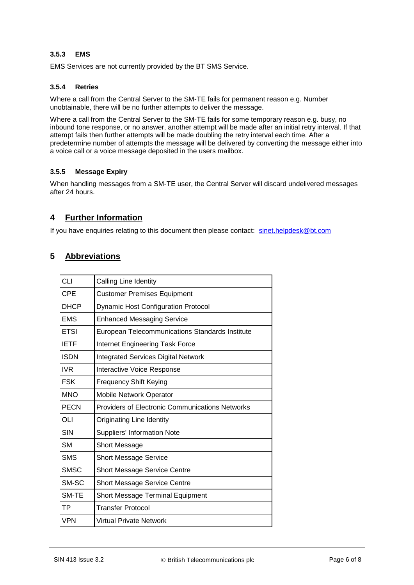#### **3.5.3 EMS**

EMS Services are not currently provided by the BT SMS Service.

#### **3.5.4 Retries**

Where a call from the Central Server to the SM-TE fails for permanent reason e.g. Number unobtainable, there will be no further attempts to deliver the message.

Where a call from the Central Server to the SM-TE fails for some temporary reason e.g. busy, no inbound tone response, or no answer, another attempt will be made after an initial retry interval. If that attempt fails then further attempts will be made doubling the retry interval each time. After a predetermine number of attempts the message will be delivered by converting the message either into a voice call or a voice message deposited in the users mailbox.

#### **3.5.5 Message Expiry**

When handling messages from a SM-TE user, the Central Server will discard undelivered messages after 24 hours.

# **4 Further Information**

If you have enquiries relating to this document then please contact: [sinet.helpdesk@bt.com](mailto:sinet.helpdesk@bt.com)

### **5 Abbreviations**

| <b>CLI</b>  | Calling Line Identity                                  |
|-------------|--------------------------------------------------------|
| <b>CPE</b>  | <b>Customer Premises Equipment</b>                     |
| <b>DHCP</b> | <b>Dynamic Host Configuration Protocol</b>             |
| <b>EMS</b>  | <b>Enhanced Messaging Service</b>                      |
| <b>ETSI</b> | European Telecommunications Standards Institute        |
| <b>IETF</b> | <b>Internet Engineering Task Force</b>                 |
| <b>ISDN</b> | <b>Integrated Services Digital Network</b>             |
| IVR         | Interactive Voice Response                             |
| <b>FSK</b>  | <b>Frequency Shift Keying</b>                          |
| <b>MNO</b>  | Mobile Network Operator                                |
| <b>PECN</b> | <b>Providers of Electronic Communications Networks</b> |
| OLI         | <b>Originating Line Identity</b>                       |
| <b>SIN</b>  | <b>Suppliers' Information Note</b>                     |
| <b>SM</b>   | <b>Short Message</b>                                   |
| <b>SMS</b>  | <b>Short Message Service</b>                           |
| <b>SMSC</b> | <b>Short Message Service Centre</b>                    |
| SM-SC       | <b>Short Message Service Centre</b>                    |
| SM-TE       | <b>Short Message Terminal Equipment</b>                |
| ТP          | <b>Transfer Protocol</b>                               |
| <b>VPN</b>  | Virtual Private Network                                |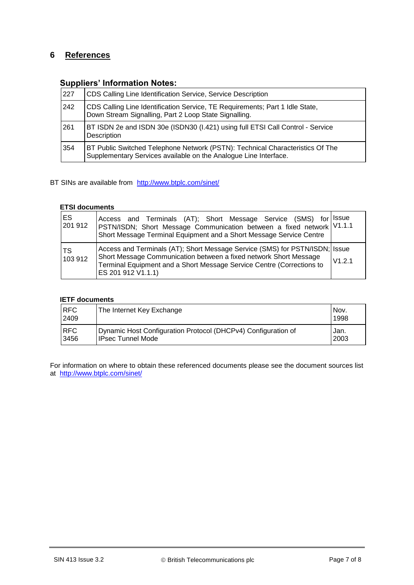# **6 References**

# **Suppliers' Information Notes:**

| 1227 | CDS Calling Line Identification Service, Service Description                                                                                      |  |
|------|---------------------------------------------------------------------------------------------------------------------------------------------------|--|
| 242  | CDS Calling Line Identification Service, TE Requirements; Part 1 Idle State,<br>Down Stream Signalling, Part 2 Loop State Signalling.             |  |
| 261  | BT ISDN 2e and ISDN 30e (ISDN30 (I.421) using full ETSI Call Control - Service<br>Description                                                     |  |
| 354  | BT Public Switched Telephone Network (PSTN): Technical Characteristics Of The<br>Supplementary Services available on the Analogue Line Interface. |  |

BT SINs are available from <http://www.btplc.com/sinet/>

#### **ETSI documents**

| IES.<br>201 912      | Access and Terminals (AT); Short Message Service (SMS) for<br>PSTN/ISDN; Short Message Communication between a fixed network V1.1.1<br>Short Message Terminal Equipment and a Short Message Service Centre                                                | <b>Issue</b> |
|----------------------|-----------------------------------------------------------------------------------------------------------------------------------------------------------------------------------------------------------------------------------------------------------|--------------|
| <b>TS</b><br>103 912 | Access and Terminals (AT); Short Message Service (SMS) for PSTN/ISDN; Issue<br>Short Message Communication between a fixed network Short Message<br>V1.2.1<br>Terminal Equipment and a Short Message Service Centre (Corrections to<br>ES 201 912 V1.1.1) |              |

#### **IETF documents**

| <b>RFC</b><br>2409 | The Internet Key Exchange                                     | Nov.<br>1998 |
|--------------------|---------------------------------------------------------------|--------------|
| <b>RFC</b>         | Dynamic Host Configuration Protocol (DHCPv4) Configuration of | Jan.         |
| 3456               | IPsec Tunnel Mode                                             | 2003         |

For information on where to obtain these referenced documents please see the document sources list at <http://www.btplc.com/sinet/>